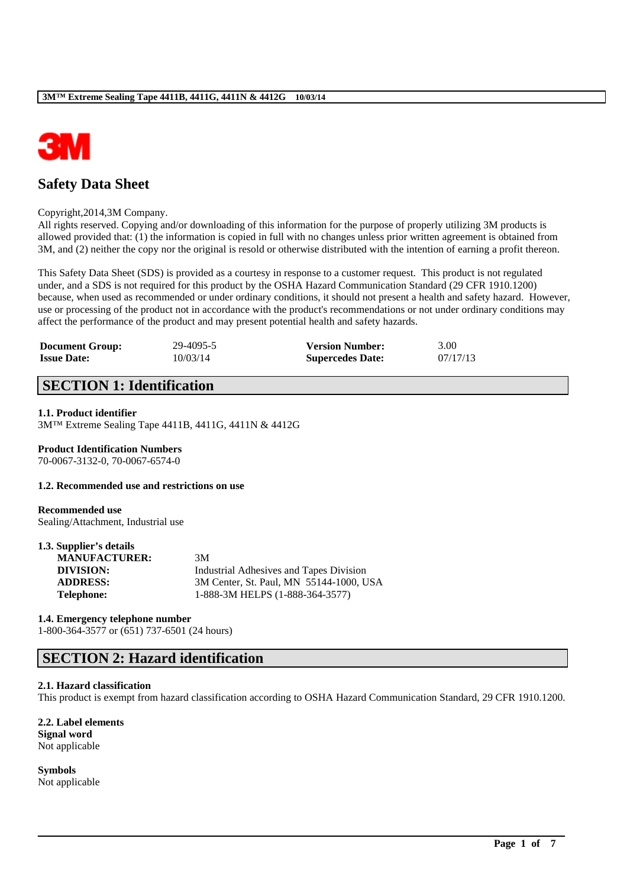

# **Safety Data Sheet**

#### Copyright,2014,3M Company.

All rights reserved. Copying and/or downloading of this information for the purpose of properly utilizing 3M products is allowed provided that: (1) the information is copied in full with no changes unless prior written agreement is obtained from 3M, and (2) neither the copy nor the original is resold or otherwise distributed with the intention of earning a profit thereon.

This Safety Data Sheet (SDS) is provided as a courtesy in response to a customer request. This product is not regulated under, and a SDS is not required for this product by the OSHA Hazard Communication Standard (29 CFR 1910.1200) because, when used as recommended or under ordinary conditions, it should not present a health and safety hazard. However, use or processing of the product not in accordance with the product's recommendations or not under ordinary conditions may affect the performance of the product and may present potential health and safety hazards.

| <b>Document Group:</b> | 29-4095-5 | <b>Version Number:</b>  | 3.00     |
|------------------------|-----------|-------------------------|----------|
| <b>Issue Date:</b>     | 10/03/14  | <b>Supercedes Date:</b> | 07/17/13 |

# **SECTION 1: Identification**

#### **1.1. Product identifier**

3M™ Extreme Sealing Tape 4411B, 4411G, 4411N & 4412G

# **Product Identification Numbers**

70-0067-3132-0, 70-0067-6574-0

### **1.2. Recommended use and restrictions on use**

#### **Recommended use** Sealing/Attachment, Industrial use

#### **1.3. Supplier's details**

| 3M                                      |
|-----------------------------------------|
| Industrial Adhesives and Tapes Division |
| 3M Center, St. Paul, MN 55144-1000, USA |
| 1-888-3M HELPS (1-888-364-3577)         |
|                                         |

#### **1.4. Emergency telephone number**

1-800-364-3577 or (651) 737-6501 (24 hours)

# **SECTION 2: Hazard identification**

#### **2.1. Hazard classification**

This product is exempt from hazard classification according to OSHA Hazard Communication Standard, 29 CFR 1910.1200.

\_\_\_\_\_\_\_\_\_\_\_\_\_\_\_\_\_\_\_\_\_\_\_\_\_\_\_\_\_\_\_\_\_\_\_\_\_\_\_\_\_\_\_\_\_\_\_\_\_\_\_\_\_\_\_\_\_\_\_\_\_\_\_\_\_\_\_\_\_\_\_\_\_\_\_\_\_\_\_\_\_\_\_\_\_\_\_\_\_\_

**2.2. Label elements Signal word** Not applicable

**Symbols**

Not applicable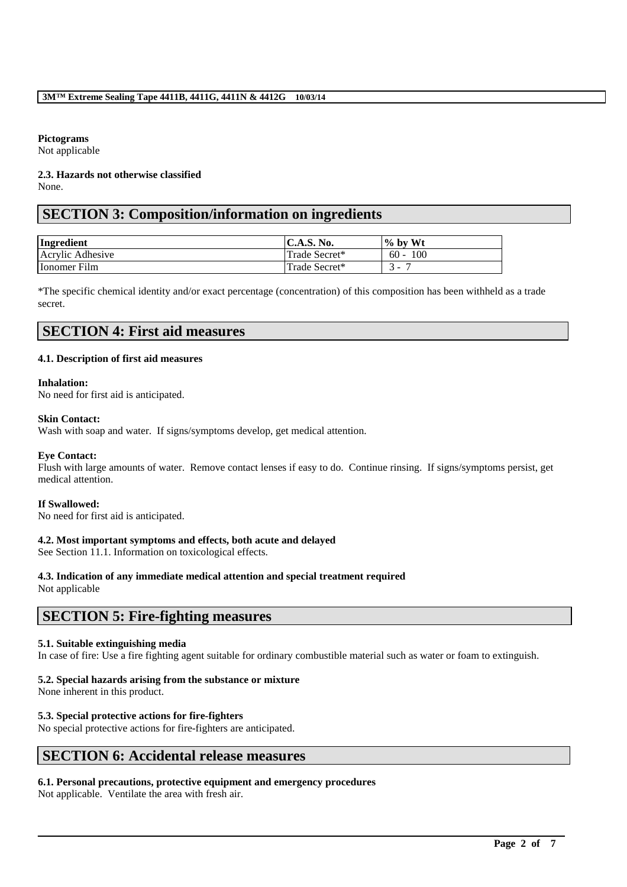### **Pictograms**

Not applicable

#### **2.3. Hazards not otherwise classified** None.

# **SECTION 3: Composition/information on ingredients**

| Ingredient       | C.A.S. No.    | $\%$ by Wt |
|------------------|---------------|------------|
| Acrylic Adhesive | Trade Secret* | $60 - 100$ |
| Ionomer Film     | Trade Secret* | .          |

\*The specific chemical identity and/or exact percentage (concentration) of this composition has been withheld as a trade secret.

# **SECTION 4: First aid measures**

# **4.1. Description of first aid measures**

#### **Inhalation:**

No need for first aid is anticipated.

# **Skin Contact:**

Wash with soap and water. If signs/symptoms develop, get medical attention.

# **Eye Contact:**

Flush with large amounts of water. Remove contact lenses if easy to do. Continue rinsing. If signs/symptoms persist, get medical attention.

# **If Swallowed:**

No need for first aid is anticipated.

# **4.2. Most important symptoms and effects, both acute and delayed**

See Section 11.1. Information on toxicological effects.

# **4.3. Indication of any immediate medical attention and special treatment required**

Not applicable

# **SECTION 5: Fire-fighting measures**

# **5.1. Suitable extinguishing media**

In case of fire: Use a fire fighting agent suitable for ordinary combustible material such as water or foam to extinguish.

\_\_\_\_\_\_\_\_\_\_\_\_\_\_\_\_\_\_\_\_\_\_\_\_\_\_\_\_\_\_\_\_\_\_\_\_\_\_\_\_\_\_\_\_\_\_\_\_\_\_\_\_\_\_\_\_\_\_\_\_\_\_\_\_\_\_\_\_\_\_\_\_\_\_\_\_\_\_\_\_\_\_\_\_\_\_\_\_\_\_

# **5.2. Special hazards arising from the substance or mixture**

None inherent in this product.

# **5.3. Special protective actions for fire-fighters**

No special protective actions for fire-fighters are anticipated.

# **SECTION 6: Accidental release measures**

# **6.1. Personal precautions, protective equipment and emergency procedures**

Not applicable. Ventilate the area with fresh air.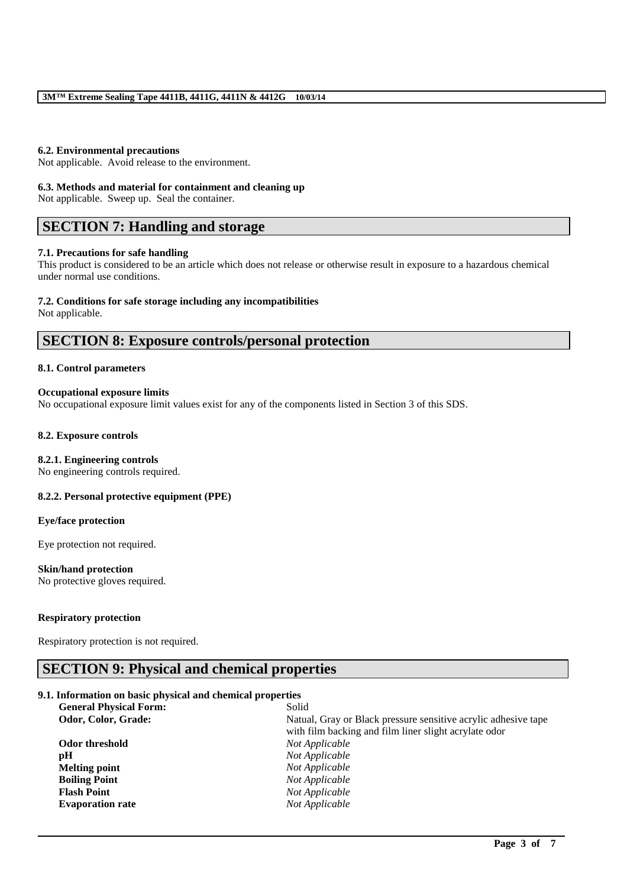#### **6.2. Environmental precautions**

Not applicable. Avoid release to the environment.

#### **6.3. Methods and material for containment and cleaning up**

Not applicable. Sweep up. Seal the container.

# **SECTION 7: Handling and storage**

#### **7.1. Precautions for safe handling**

This product is considered to be an article which does not release or otherwise result in exposure to a hazardous chemical under normal use conditions.

#### **7.2. Conditions for safe storage including any incompatibilities**

Not applicable.

# **SECTION 8: Exposure controls/personal protection**

# **8.1. Control parameters**

#### **Occupational exposure limits**

No occupational exposure limit values exist for any of the components listed in Section 3 of this SDS.

#### **8.2. Exposure controls**

### **8.2.1. Engineering controls**

No engineering controls required.

#### **8.2.2. Personal protective equipment (PPE)**

#### **Eye/face protection**

Eye protection not required.

### **Skin/hand protection**

No protective gloves required.

#### **Respiratory protection**

Respiratory protection is not required.

# **SECTION 9: Physical and chemical properties**

#### **9.1. Information on basic physical and chemical properties**

| <b>General Physical Form:</b> | Solid                                                          |
|-------------------------------|----------------------------------------------------------------|
| Odor, Color, Grade:           | Natual, Gray or Black pressure sensitive acrylic adhesive tape |
|                               | with film backing and film liner slight acrylate odor          |
| Odor threshold                | Not Applicable                                                 |
| pH                            | Not Applicable                                                 |
| <b>Melting point</b>          | Not Applicable                                                 |
| <b>Boiling Point</b>          | Not Applicable                                                 |
| <b>Flash Point</b>            | Not Applicable                                                 |
| <b>Evaporation rate</b>       | Not Applicable                                                 |
|                               |                                                                |

\_\_\_\_\_\_\_\_\_\_\_\_\_\_\_\_\_\_\_\_\_\_\_\_\_\_\_\_\_\_\_\_\_\_\_\_\_\_\_\_\_\_\_\_\_\_\_\_\_\_\_\_\_\_\_\_\_\_\_\_\_\_\_\_\_\_\_\_\_\_\_\_\_\_\_\_\_\_\_\_\_\_\_\_\_\_\_\_\_\_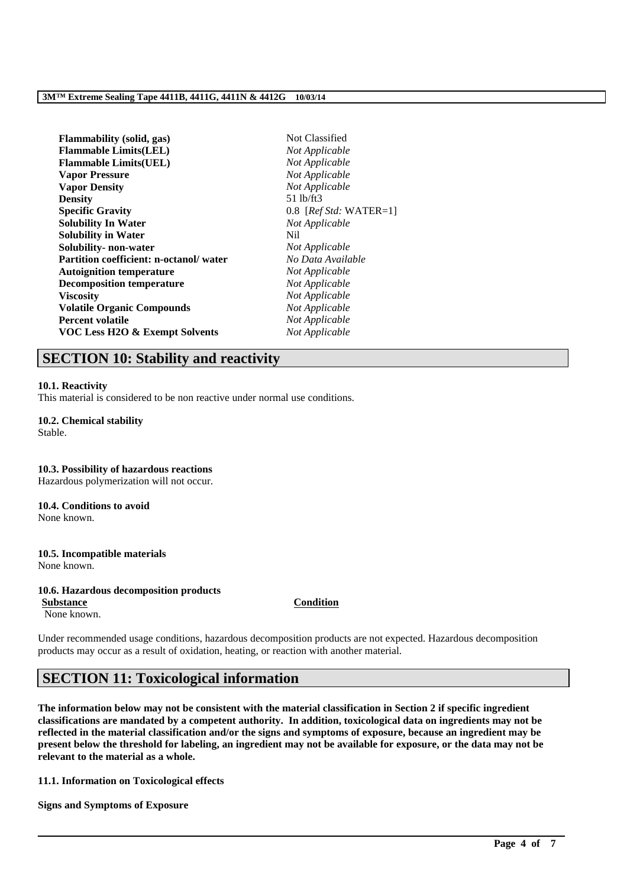# **3M™ Extreme Sealing Tape 4411B, 4411G, 4411N & 4412G 10/03/14**

| <b>Flammability</b> (solid, gas)              | Not Classified            |
|-----------------------------------------------|---------------------------|
| <b>Flammable Limits(LEL)</b>                  | Not Applicable            |
| <b>Flammable Limits(UEL)</b>                  | Not Applicable            |
| <b>Vapor Pressure</b>                         | Not Applicable            |
| <b>Vapor Density</b>                          | Not Applicable            |
| <b>Density</b>                                | $51$ lb/ft $3$            |
| <b>Specific Gravity</b>                       | 0.8 [ $RefStd: WATER=1$ ] |
| <b>Solubility In Water</b>                    | Not Applicable            |
| <b>Solubility in Water</b>                    | Nil.                      |
| Solubility- non-water                         | Not Applicable            |
| <b>Partition coefficient: n-octanol/water</b> | No Data Available         |
| <b>Autoignition temperature</b>               | Not Applicable            |
| <b>Decomposition temperature</b>              | Not Applicable            |
| <b>Viscosity</b>                              | Not Applicable            |
| <b>Volatile Organic Compounds</b>             | Not Applicable            |
| <b>Percent volatile</b>                       | Not Applicable            |
| <b>VOC Less H2O &amp; Exempt Solvents</b>     | Not Applicable            |

# **SECTION 10: Stability and reactivity**

#### **10.1. Reactivity**

This material is considered to be non reactive under normal use conditions.

**10.2. Chemical stability** Stable.

### **10.3. Possibility of hazardous reactions** Hazardous polymerization will not occur.

# **10.4. Conditions to avoid**

None known.

#### **10.5. Incompatible materials** None known.

#### **10.6. Hazardous decomposition products**

**Substance Condition** None known.

Under recommended usage conditions, hazardous decomposition products are not expected. Hazardous decomposition products may occur as a result of oxidation, heating, or reaction with another material.

# **SECTION 11: Toxicological information**

**The information below may not be consistent with the material classification in Section 2 if specific ingredient classifications are mandated by a competent authority. In addition, toxicological data on ingredients may not be reflected in the material classification and/or the signs and symptoms of exposure, because an ingredient may be present below the threshold for labeling, an ingredient may not be available for exposure, or the data may not be relevant to the material as a whole.**

\_\_\_\_\_\_\_\_\_\_\_\_\_\_\_\_\_\_\_\_\_\_\_\_\_\_\_\_\_\_\_\_\_\_\_\_\_\_\_\_\_\_\_\_\_\_\_\_\_\_\_\_\_\_\_\_\_\_\_\_\_\_\_\_\_\_\_\_\_\_\_\_\_\_\_\_\_\_\_\_\_\_\_\_\_\_\_\_\_\_

**11.1. Information on Toxicological effects**

**Signs and Symptoms of Exposure**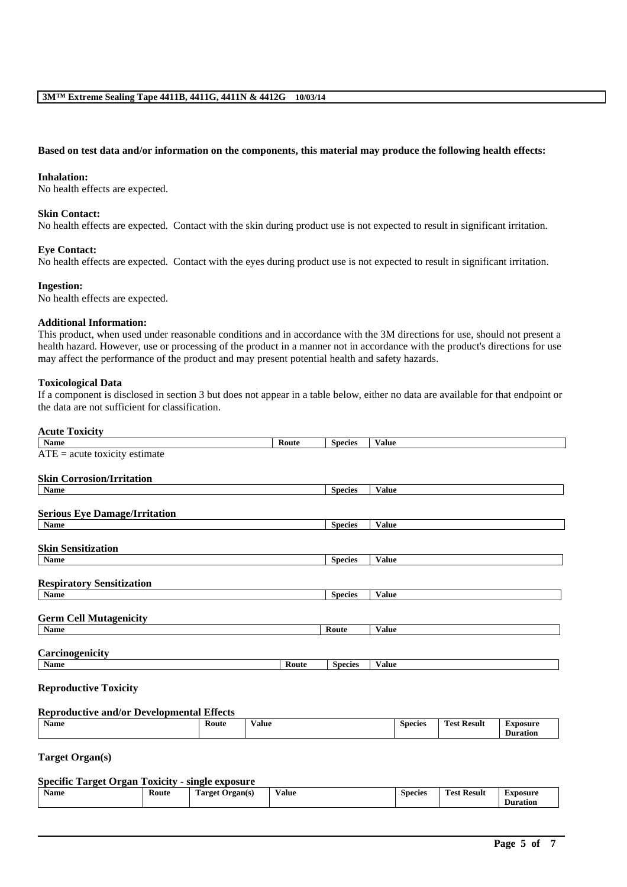#### **Based on test data and/or information on the components, this material may produce the following health effects:**

#### **Inhalation:**

No health effects are expected.

### **Skin Contact:**

No health effects are expected. Contact with the skin during product use is not expected to result in significant irritation.

# **Eye Contact:**

No health effects are expected. Contact with the eyes during product use is not expected to result in significant irritation.

#### **Ingestion:**

No health effects are expected.

### **Additional Information:**

This product, when used under reasonable conditions and in accordance with the 3M directions for use, should not present a health hazard. However, use or processing of the product in a manner not in accordance with the product's directions for use may affect the performance of the product and may present potential health and safety hazards.

#### **Toxicological Data**

If a component is disclosed in section 3 but does not appear in a table below, either no data are available for that endpoint or the data are not sufficient for classification.

# **Acute Toxicity**

| Name                                 | Route | <b>Species</b> | <b>Value</b> |
|--------------------------------------|-------|----------------|--------------|
| $ATE = acute$ toxicity estimate      |       |                |              |
|                                      |       |                |              |
| <b>Skin Corrosion/Irritation</b>     |       |                |              |
| Name                                 |       | <b>Species</b> | <b>Value</b> |
|                                      |       |                |              |
| <b>Serious Eye Damage/Irritation</b> |       |                |              |
| Name                                 |       | <b>Species</b> | <b>Value</b> |
|                                      |       |                |              |
| <b>Skin Sensitization</b>            |       |                |              |
| Name                                 |       | <b>Species</b> | Value        |
|                                      |       |                |              |
| <b>Respiratory Sensitization</b>     |       |                |              |
| Name                                 |       | <b>Species</b> | <b>Value</b> |
|                                      |       |                |              |
| <b>Germ Cell Mutagenicity</b>        |       |                |              |
| Name                                 |       | Route          | <b>Value</b> |
|                                      |       |                |              |
| Carcinogenicity                      |       |                |              |
| Name                                 | Route | <b>Species</b> | Value        |
|                                      |       |                |              |
| <b>Reproductive Toxicity</b>         |       |                |              |

# **Reproductive and/or Developmental Effects**

| Koute<br><b>Result</b><br>Name<br>⁄ alue<br>Exposure<br>Species<br>l'est |  | $\bullet$ |  |  | $\sim$ | --<br>$\sim$ $\sim$ | Duration |
|--------------------------------------------------------------------------|--|-----------|--|--|--------|---------------------|----------|
|--------------------------------------------------------------------------|--|-----------|--|--|--------|---------------------|----------|

**Target Organ(s)**

# **Specific Target Organ Toxicity - single exposure**

| <b>Name</b> | Route<br>. | <b>CONTRACT</b><br><b>Target</b><br><b>Organ(s)</b> | $\mathbf{v}$<br>⁄ alue<br>. | Species<br>. | <b>CONT</b><br>' Result<br>'est<br>. | Exposure        |
|-------------|------------|-----------------------------------------------------|-----------------------------|--------------|--------------------------------------|-----------------|
|             |            |                                                     |                             |              |                                      | <b>Duration</b> |

\_\_\_\_\_\_\_\_\_\_\_\_\_\_\_\_\_\_\_\_\_\_\_\_\_\_\_\_\_\_\_\_\_\_\_\_\_\_\_\_\_\_\_\_\_\_\_\_\_\_\_\_\_\_\_\_\_\_\_\_\_\_\_\_\_\_\_\_\_\_\_\_\_\_\_\_\_\_\_\_\_\_\_\_\_\_\_\_\_\_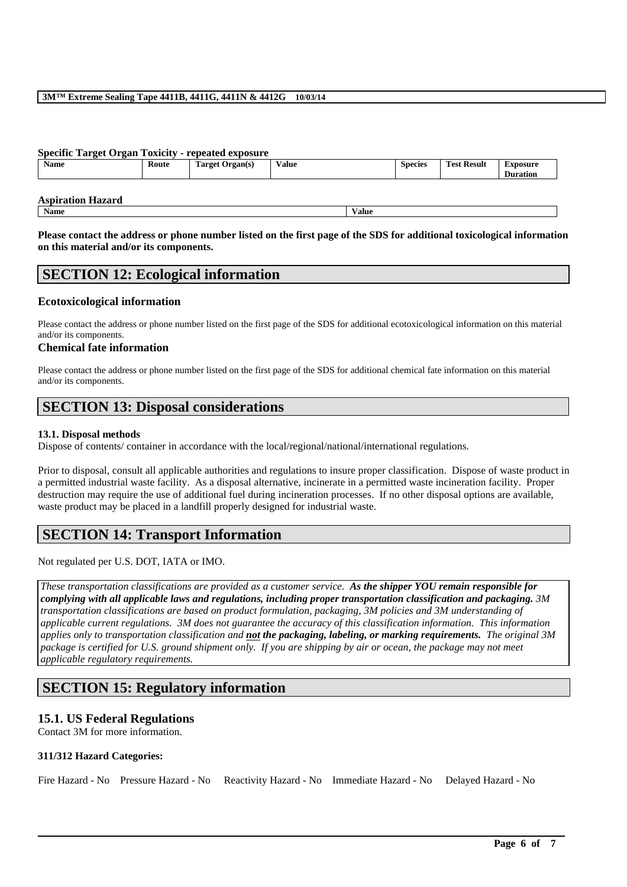# **3M™ Extreme Sealing Tape 4411B, 4411G, 4411N & 4412G 10/03/14**

### **Specific Target Organ Toxicity - repeated exposure**

|  | <b>Name</b> | Route | --<br>l'arget<br>Organ(s)<br>Ð | Value<br>$\cdots$ | <b>Species</b> | Result<br>m<br>Test | Exposure<br>$\cdot$ .<br>Duration |
|--|-------------|-------|--------------------------------|-------------------|----------------|---------------------|-----------------------------------|
|--|-------------|-------|--------------------------------|-------------------|----------------|---------------------|-----------------------------------|

**Aspiration Hazard**

**Name Value**

**Please contact the address or phone number listed on the first page of the SDS for additional toxicological information on this material and/or its components.**

# **SECTION 12: Ecological information**

# **Ecotoxicological information**

Please contact the address or phone number listed on the first page of the SDS for additional ecotoxicological information on this material and/or its components.

# **Chemical fate information**

Please contact the address or phone number listed on the first page of the SDS for additional chemical fate information on this material and/or its components.

# **SECTION 13: Disposal considerations**

# **13.1. Disposal methods**

Dispose of contents/ container in accordance with the local/regional/national/international regulations.

Prior to disposal, consult all applicable authorities and regulations to insure proper classification. Dispose of waste product in a permitted industrial waste facility. As a disposal alternative, incinerate in a permitted waste incineration facility. Proper destruction may require the use of additional fuel during incineration processes. If no other disposal options are available, waste product may be placed in a landfill properly designed for industrial waste.

# **SECTION 14: Transport Information**

Not regulated per U.S. DOT, IATA or IMO.

*These transportation classifications are provided as a customer service. As the shipper YOU remain responsible for complying with all applicable laws and regulations, including proper transportation classification and packaging. 3M transportation classifications are based on product formulation, packaging, 3M policies and 3M understanding of applicable current regulations. 3M does not guarantee the accuracy of this classification information. This information applies only to transportation classification and not the packaging, labeling, or marking requirements. The original 3M package is certified for U.S. ground shipment only. If you are shipping by air or ocean, the package may not meet applicable regulatory requirements.* 

# **SECTION 15: Regulatory information**

# **15.1. US Federal Regulations**

Contact 3M for more information.

# **311/312 Hazard Categories:**

Fire Hazard - No Pressure Hazard - No Reactivity Hazard - No Immediate Hazard - No Delayed Hazard - No

\_\_\_\_\_\_\_\_\_\_\_\_\_\_\_\_\_\_\_\_\_\_\_\_\_\_\_\_\_\_\_\_\_\_\_\_\_\_\_\_\_\_\_\_\_\_\_\_\_\_\_\_\_\_\_\_\_\_\_\_\_\_\_\_\_\_\_\_\_\_\_\_\_\_\_\_\_\_\_\_\_\_\_\_\_\_\_\_\_\_